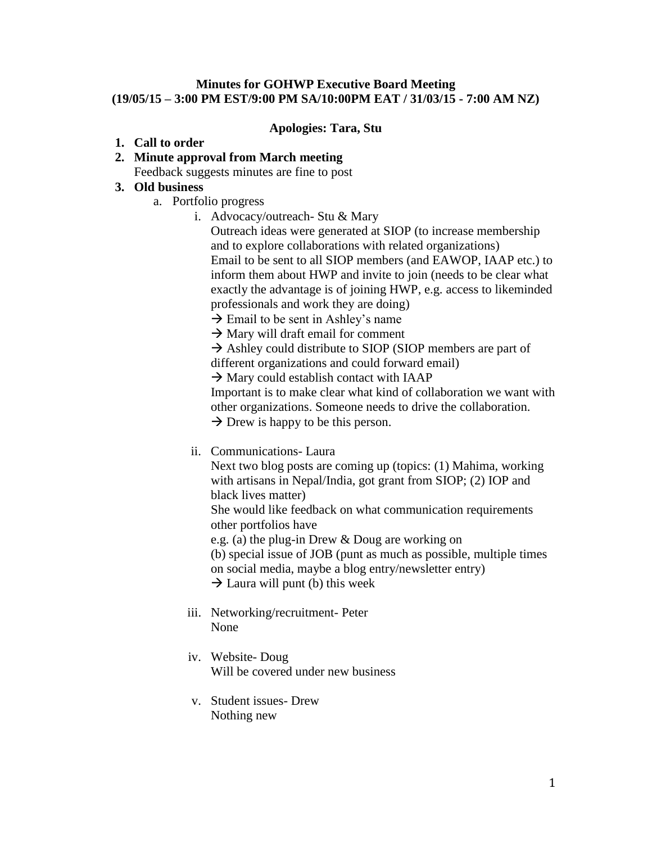### **Minutes for GOHWP Executive Board Meeting (19/05/15 – 3:00 PM EST/9:00 PM SA/10:00PM EAT / 31/03/15 - 7:00 AM NZ)**

### **Apologies: Tara, Stu**

### **1. Call to order**

- **2. Minute approval from March meeting**
	- Feedback suggests minutes are fine to post

# **3. Old business**

- a. Portfolio progress
	- i. Advocacy/outreach- Stu & Mary
		- Outreach ideas were generated at SIOP (to increase membership and to explore collaborations with related organizations) Email to be sent to all SIOP members (and EAWOP, IAAP etc.) to inform them about HWP and invite to join (needs to be clear what exactly the advantage is of joining HWP, e.g. access to likeminded professionals and work they are doing)
		- $\rightarrow$  Email to be sent in Ashley's name
		- $\rightarrow$  Mary will draft email for comment

 $\rightarrow$  Ashley could distribute to SIOP (SIOP members are part of different organizations and could forward email)

 $\rightarrow$  Mary could establish contact with IAAP

Important is to make clear what kind of collaboration we want with other organizations. Someone needs to drive the collaboration.  $\rightarrow$  Drew is happy to be this person.

ii. Communications- Laura

Next two blog posts are coming up (topics: (1) Mahima, working with artisans in Nepal/India, got grant from SIOP; (2) IOP and black lives matter)

She would like feedback on what communication requirements other portfolios have

e.g. (a) the plug-in Drew & Doug are working on

(b) special issue of JOB (punt as much as possible, multiple times

on social media, maybe a blog entry/newsletter entry)

 $\rightarrow$  Laura will punt (b) this week

- iii. Networking/recruitment- Peter None
- iv. Website- Doug Will be covered under new business
- v. Student issues- Drew Nothing new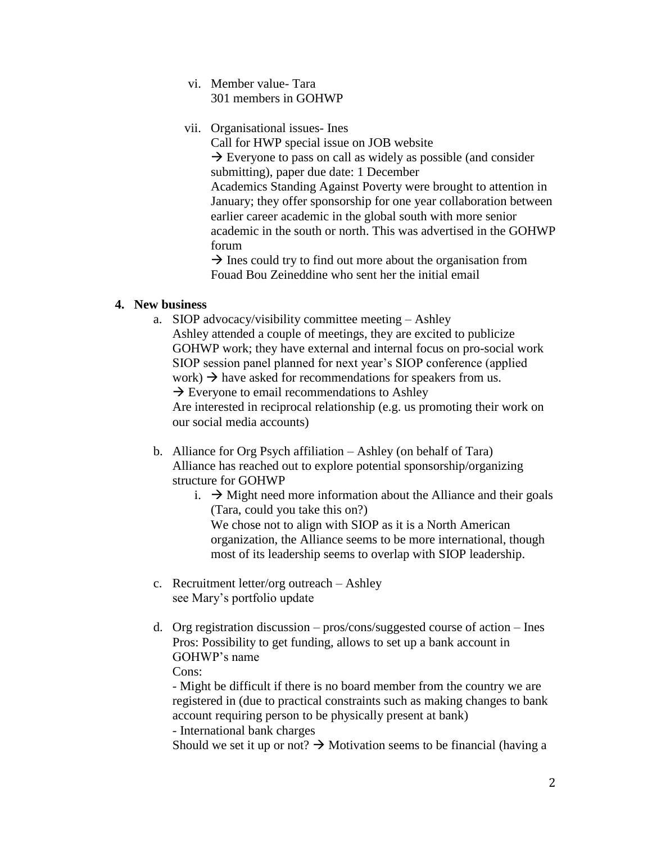- vi. Member value- Tara 301 members in GOHWP
- vii. Organisational issues- Ines

Call for HWP special issue on JOB website

 $\rightarrow$  Everyone to pass on call as widely as possible (and consider submitting), paper due date: 1 December Academics Standing Against Poverty were brought to attention in January; they offer sponsorship for one year collaboration between earlier career academic in the global south with more senior academic in the south or north. This was advertised in the GOHWP forum

 $\rightarrow$  Ines could try to find out more about the organisation from Fouad Bou Zeineddine who sent her the initial email

## **4. New business**

a. SIOP advocacy/visibility committee meeting – Ashley Ashley attended a couple of meetings, they are excited to publicize

GOHWP work; they have external and internal focus on pro-social work SIOP session panel planned for next year's SIOP conference (applied work)  $\rightarrow$  have asked for recommendations for speakers from us.

 $\rightarrow$  Everyone to email recommendations to Ashley

Are interested in reciprocal relationship (e.g. us promoting their work on our social media accounts)

- b. Alliance for Org Psych affiliation Ashley (on behalf of Tara) Alliance has reached out to explore potential sponsorship/organizing structure for GOHWP
	- i.  $\rightarrow$  Might need more information about the Alliance and their goals (Tara, could you take this on?) We chose not to align with SIOP as it is a North American organization, the Alliance seems to be more international, though most of its leadership seems to overlap with SIOP leadership.
- c. Recruitment letter/org outreach Ashley see Mary's portfolio update
- d. Org registration discussion pros/cons/suggested course of action Ines Pros: Possibility to get funding, allows to set up a bank account in GOHWP's name

Cons:

- Might be difficult if there is no board member from the country we are registered in (due to practical constraints such as making changes to bank account requiring person to be physically present at bank)

- International bank charges

Should we set it up or not?  $\rightarrow$  Motivation seems to be financial (having a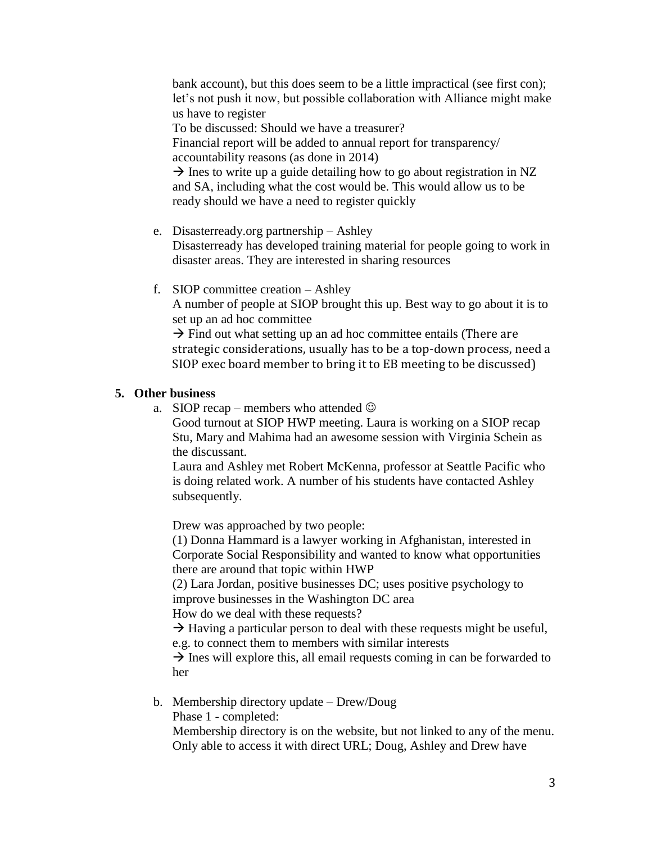bank account), but this does seem to be a little impractical (see first con); let's not push it now, but possible collaboration with Alliance might make us have to register

To be discussed: Should we have a treasurer?

Financial report will be added to annual report for transparency/ accountability reasons (as done in 2014)

 $\rightarrow$  Ines to write up a guide detailing how to go about registration in NZ and SA, including what the cost would be. This would allow us to be ready should we have a need to register quickly

- e. Disasterready.org partnership Ashley Disasterready has developed training material for people going to work in disaster areas. They are interested in sharing resources
- f. SIOP committee creation Ashley A number of people at SIOP brought this up. Best way to go about it is to set up an ad hoc committee

 $\rightarrow$  Find out what setting up an ad hoc committee entails (There are strategic considerations, usually has to be a top-down process, need a SIOP exec board member to bring it to EB meeting to be discussed)

## **5. Other business**

a. SIOP recap – members who attended  $\odot$ 

Good turnout at SIOP HWP meeting. Laura is working on a SIOP recap Stu, Mary and Mahima had an awesome session with Virginia Schein as the discussant.

Laura and Ashley met Robert McKenna, professor at Seattle Pacific who is doing related work. A number of his students have contacted Ashley subsequently.

Drew was approached by two people:

(1) Donna Hammard is a lawyer working in Afghanistan, interested in Corporate Social Responsibility and wanted to know what opportunities there are around that topic within HWP

(2) Lara Jordan, positive businesses DC; uses positive psychology to improve businesses in the Washington DC area

How do we deal with these requests?

 $\rightarrow$  Having a particular person to deal with these requests might be useful, e.g. to connect them to members with similar interests

 $\rightarrow$  Ines will explore this, all email requests coming in can be forwarded to her

b. Membership directory update – Drew/Doug

Phase 1 - completed:

Membership directory is on the website, but not linked to any of the menu. Only able to access it with direct URL; Doug, Ashley and Drew have